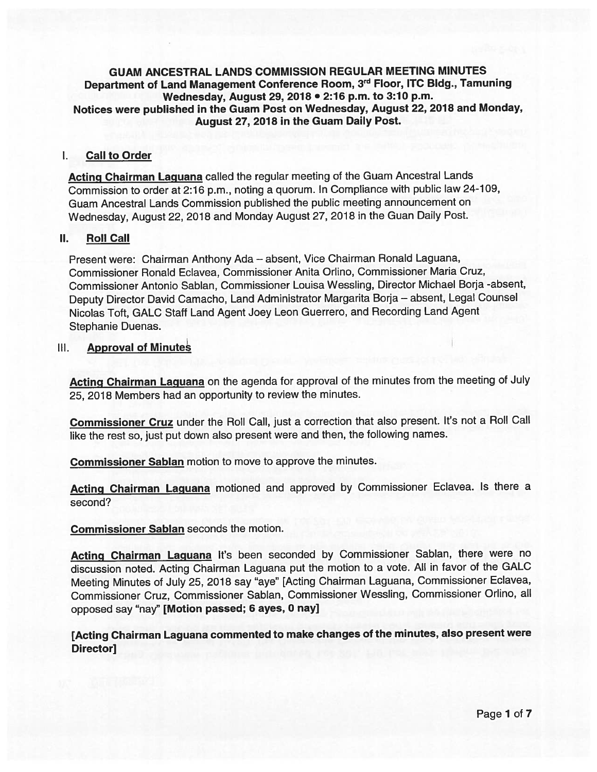### GUAM ANCESTRAL LANDS COMMISSION REGULAR MEETING MINUTES Department of Land Management Conference Room, 3rd Floor, ITC Bidg., Tamuning Wednesday, August 29, <sup>2078</sup> • 2:76 p.m. to 3:10 p.m. Notices were published in the Guam Post on Wednesday, August 22, <sup>2078</sup> and Monday, August 27, 2018 in the Guam Daily Post.

#### Call to Order  $\mathbf{L}$

Acting Chairman Laguana called the regular meeting of the Guam Ancestral Lands Commission to order at 2:16 p.m., noting <sup>a</sup> quorum. In Compliance with public law 24-109, Guam Ancestral Lands Commission published the public meeting announcement on Wednesday, August 22, <sup>2018</sup> and Monday August 27, <sup>2018</sup> in the Guan Daily Post.

#### П. Roll Call

Present were: Chairman Anthony Ada — absent, Vice Chairman Ronald Laguana, Commissioner Ronald Ecavea, Commissioner Anita Orlino, Commissioner Maria Cruz, Commissioner Antonio Sablan, Commissioner Louisa Wessling, Director Michael Borja -absent, Deputy Director David Camacho, Land Administrator Margarita Borja — absent, Legal Counsel Nicolas Toft, GALC Staff Land Agent Joey Leon Guerrero, and Recording Land Agent Stephanie Duenas.

# III. **Approval of Minutes**

Acting Chairman Laguana on the agenda for approval of the minutes from the meeting of July 25, 2018 Members had an opportunity to review the minutes.

Commissioner Cruz under the Roll Call, just a correction that also present. It's not a Roll Call like the rest so, just pu<sup>t</sup> down also presen<sup>t</sup> were and then, the following names.

Commissioner Sablan motion to move to approve the minutes.

Acting Chairman Laguana motioned and approved by Commissioner Eclavea. Is there a second?

Commissioner Sablan seconds the motion.

Acting Chairman Laguana It's been seconded by Commissioner Sablan, there were no discussion noted. Acting Chairman Laguana pu<sup>t</sup> the motion to <sup>a</sup> vote. All in favor of the GALC Meeting Minutes of July 25, <sup>2018</sup> say "aye" [Acting Chairman Laguana, Commissioner Eclavea, Commissioner Cruz, Commissioner Sablan, Commissioner Wessling, Commissioner Orlino, all oppose<sup>d</sup> say "nay" [Motion passed; <sup>6</sup> ayes, <sup>0</sup> nay]

[Acting Chairman Laguana commented to make changes of the minutes, also presen<sup>t</sup> were Director]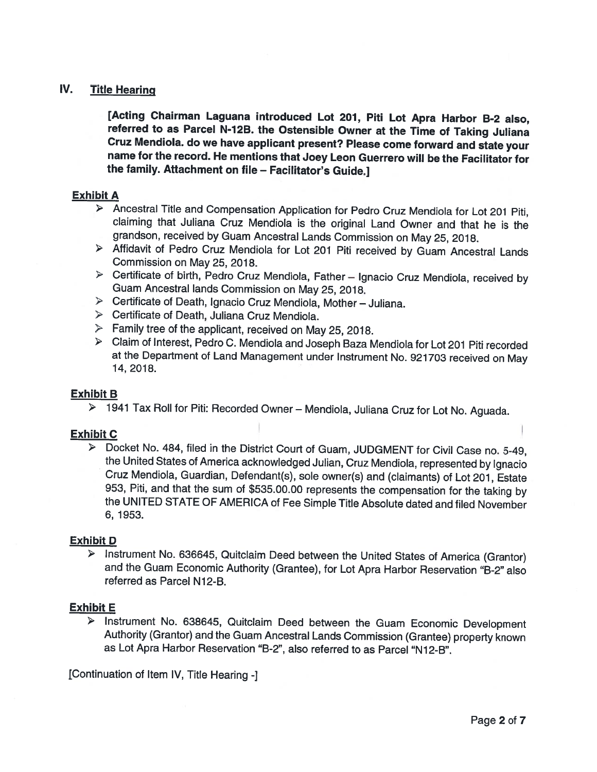# IV. Title Hearing

[Acting Chairman Laguana introduced Lot 207, Piti Lot Apra Harbor B-2 also, referred to as Parcel N-12B. the Ostensible Owner at the Time of Taking Juliana Cruz Mendiola. do we have applicant present? Please come forward and state your name for the record. He mentions that Joey Leon Guerrero will be the Facilitator for the family. Attachment on file - Facilitator's Guide.]

#### Exhibit A

- <sup>&</sup>gt; Ancestral Title and Compensation Application for Pedro Cruz Mendiola for Lot <sup>201</sup> Piti, claiming that Juliana Cruz Mendiola is the original Land Owner and that he is the grandson, received by Guam Ancestral Lands Commission on May 25, 2018.
- <sup>&</sup>gt; Affidavit of Pedro Cruz Mendiola for Lot <sup>201</sup> Piti received by Guam Ancestral Lands Commission on May 25, 2018.
- $\triangleright$  Certificate of birth, Pedro Cruz Mendiola, Father Ignacio Cruz Mendiola, received by Guam Ancestral lands Commission on May 25, 2018.
- <sup>&</sup>gt; Certificate of Death, lgnacio Cruz Mendiola, Mother Juliana.
- $\triangleright$  Certificate of Death, Juliana Cruz Mendiola.
- $\triangleright$  Family tree of the applicant, received on May 25, 2018.
- Claim of Interest, Pedro C. Mendiola and Joseph Baza Mendiola for Lot <sup>201</sup> Piti recorded at the Department of Land Management under Instrument No. <sup>921703</sup> received on May 14, 2018.

#### Exhibit B

<sup>&</sup>gt; <sup>1941</sup> Tax Roll for Piti: Recorded Owner — Mendiola, Juliana Cruz for Lot No. Aguada.

#### Exhibit C

<sup>&</sup>gt; Docket No. 484, filed in the District Court of Guam, JUDGMENT for Civil Case no. 5-49, the United States of America acknowledged Julian, Cruz Mendiola, represented by lgnacio Cruz Mendiola, Guardian, Defendant(s), sole owner(s) and (claimants) of Lot 201, Estate 953, Piti, and that the sum of \$535.00.00 represents the compensation for the taking by the UNITED STATE OF AMERICA of Fee Simple Title Absolute dated and filed November 6, 1953.

#### Exhibit D

<sup>&</sup>gt; Instrument No. 636645, Quitclaim Deed between the United States of America (Grantor) and the Guam Economic Authority (Grantee), for Lot Apra Harbor Reservation "B-2" also referred as Parcel N<sub>12</sub>-B.

#### Exhibit E

<sup>&</sup>gt; Instrument No. 638645, Quitclaim Deed between the Guam Economic Development Authority (Grantor) and the Guam Ancestral Lands Commission (Grantee) property known as Lot Apra Harbor Reservation "B-2", also referred to as Parcel "N 12-B".

IContinuation of Item IV, Title Hearing -]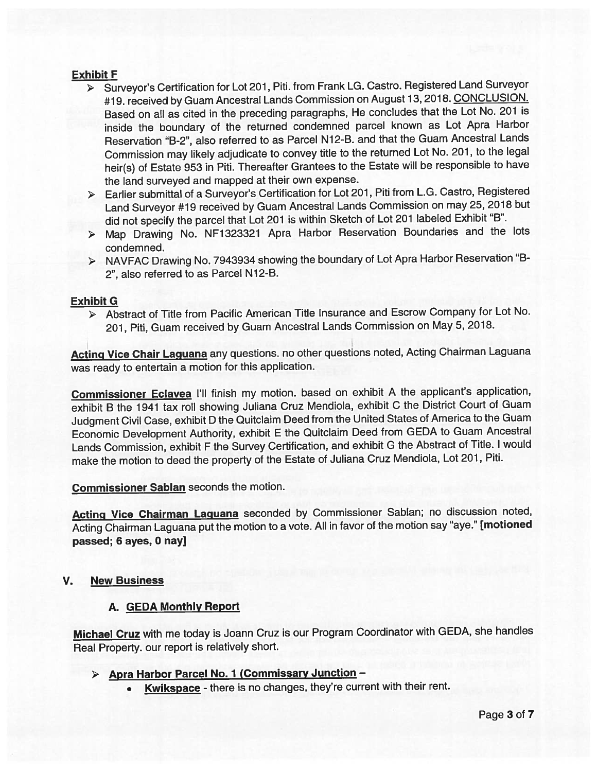# Exhibit F

- <sup>&</sup>gt; Surveyor's Certification for Lot 201, Piti. from Frank LG. Castro. Registered Land Surveyor #19. received by Guam Ancestral Lands Commission on August 13, 2018. CONCLUSION. Based on all as cited in the preceding paragraphs, He concludes that the Lot No. <sup>201</sup> is inside the boundary of the returned condemned parce<sup>l</sup> known as Lot Apra Harbor Reservation "B-2", also referred to as Parcel N12-B. and that the Guam Ancestral Lands Commission may likely adjudicate to convey title to the returned Lot No. 201, to the legal heir(s) of Estate <sup>953</sup> in Piti. Thereafter Grantees to the Estate will be responsible to have the land surveyed and mapped at their own expense.
- Earlier submittal of <sup>a</sup> Surveyor's Certification for Lot 201, Piti from L.G. Castro, Registered Land Surveyor #19 received by Guam Ancestral Lands Commission on may 25, <sup>2018</sup> but did not specify the parce<sup>l</sup> that Lot <sup>201</sup> is within Sketch of Lot <sup>201</sup> labeled Exhibit "B".
- <sup>&</sup>gt; Map Drawing No. NF1323321 Apra Harbor Reservation Boundaries and the lots condemned.
- NAVFAC Drawing No. <sup>7943934</sup> showing the boundary of Lot Apra Harbor Reservation "B 2", also referred to as Parcel N12-B.

#### Exhibit G

Abstract of Title from Pacific American Title Insurance and Escrow Company for Lot No. 201, Piti, Guam received by Guam Ancestral Lands Commission on May 5, 2018.

Acting Vice Chair Laguana any questions. no other questions noted, Acting Chairman Laguana was ready to entertain <sup>a</sup> motion for this application.

Commissioner Eclavea I'll finish my motion. based on exhibit <sup>A</sup> the applicant's application, exhibit <sup>B</sup> the <sup>1941</sup> tax roll showing Juliana Cruz Mendiola, exhibit <sup>C</sup> the District Court of Guam Judgment Civil Case, exhibit <sup>D</sup> the Quitclaim Deed from the United States of America to the Guam Economic Development Authority, exhibit <sup>E</sup> the Quitclaim Deed from GEDA to Guam Ancestral Lands Commission, exhibit <sup>F</sup> the Survey Certification, and exhibit <sup>G</sup> the Abstract of Title. <sup>I</sup> would make the motion to deed the property of the Estate of Juliana Cruz Mendiola, Lot 201, Piti.

Commissioner Sablan seconds the motion.

Acting Vice Chairman Laguana seconded by Commissioner Sablan; no discussion noted, Acting Chairman Laguana pu<sup>t</sup> the motion to <sup>a</sup> vote. All in favor of the motion say "aye." [motioned passed; <sup>6</sup> ayes, 0 nay]

### V. New Business

#### A. GEDA Monthly Report

Michael Cruz with me today is Joann Cruz is our Program Coordinator with GEDA, she handles Real Property. our repor<sup>t</sup> is relatively short.

# > Apra Harbor Parcel No. 1 (Commissary Junction -

•Kwikspace - there is no changes, they're current with their rent.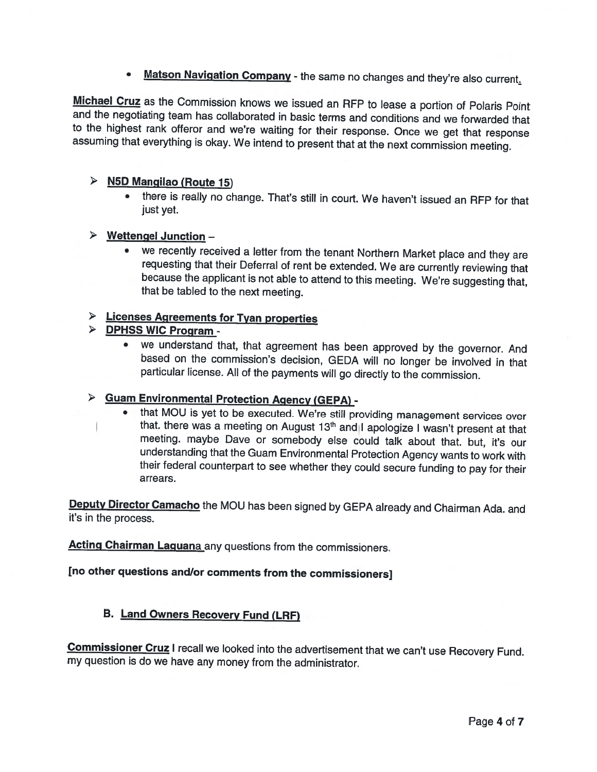• Matson Navigation Company - the same no changes and they're also current.

**Michael Cruz** as the Commission knows we issued an RFP to lease a portion of Polaris Point and the negotiating team has collaborated in basic terms and conditions and we forwarded that to the highest rank offeror and we're waiting for their response. Once we get that response assuming that everything is okay. We intend to present that at the next commission meeting.

# <sup>&</sup>gt; N5D Mangilao (Route 75)

 there is really no change. That's still in court. We haven't issued an RFP for that just yet.

# <sup>&</sup>gt; Wettengel Junction —

• we recently received <sup>a</sup> letter from the tenant Northern Market <sup>p</sup>lace and they are requesting that their Deferral of rent be extended. We are currently reviewing that because the applicant is not able to attend to this meeting. We're suggesting that, that be tabled to the next meeting.

# <sup>&</sup>gt; Licenses Agreements for Tyan properties

- > DPHSS WIC Program -
	- we understand that, that agreement has been approved by the governor. And based on the commission's decision, GEDA will no longer be involved in that particular license. All of the payments will go directly to the commission.

# <sup>&</sup>gt; Guam Environmental Protection Agency (GEPA) -

• that MOU is yet to be executed. We're still providing management services over that. there was a meeting on August 13<sup>th</sup> and I apologize I wasn't present at that meeting. maybe Dave or somebody else could talk about that. but, it's our understanding that the Guam Environmental Protection Agency wants to work with their federal counterpart to see whether they could secure funding to pay for their arrears.

Deputy Director Camacho the MOU has been signed by GEPA already and Chairman Ada. and it's in the process.

Acting Chairman Laguana any questions from the commissioners.

# [no other questions and/or comments from the commissioners]

# B. Land Owners Recovery Fund (LRF)

Commissioner Cruz I recall we looked into the advertisement that we can't use Recovery Fund. my question is do we have any money from the administrator.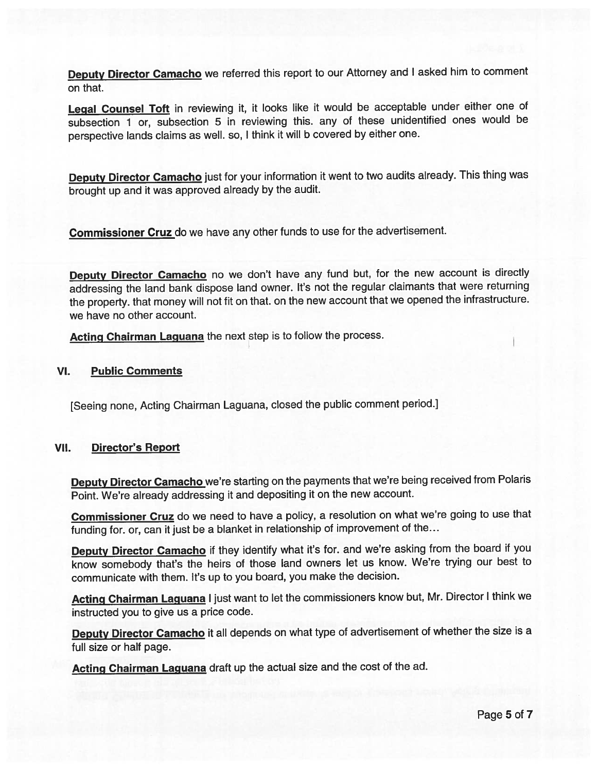Deputy Director Camacho we referred this report to our Attorney and I asked him to comment on that.

Legal Counsel Toft in reviewing it, it looks like it would be acceptable under either one of subsection <sup>1</sup> or, subsection <sup>5</sup> in reviewing this. any of these unidentified ones would be perspective lands claims as well. so, <sup>I</sup> think it will <sup>b</sup> covered by either one.

Deputy Director Camacho just for your information it went to two audits already. This thing was brought up and it was approve<sup>d</sup> already by the audit.

Commissioner Cruz do we have any other funds to use for the advertisement.

Deputy Director Camacho no we don't have any fund but, for the new account is directly addressing the land bank dispose land owner. It's not the regular claimants that were returning the property. that money will not fit on that. on the new account that we opene<sup>d</sup> the infrastructure. we have no other account.

Acting Chairman Laguana the next step is to follow the process.

#### VI. Public Comments

[Seeing none, Acting Chairman Laguana, closed the public comment period.]

#### VII. Director's Report

Deputy Director Camacho we're starting on the payments that we're being received from Polaris Point. We're already addressing it and depositing it on the new account.

Commissioner Cruz do we need to have a policy, a resolution on what we're going to use that funding for, or, can it just be <sup>a</sup> blanket in relationship of improvement of the...

Deputy Director Camacho if they identify what it's for. and we're asking from the board if you know somebody that's the heirs of those land owners let us know. We're trying our best to communicate with them. It's up to you board, you make the decision.

Acting Chairman Laguana I just want to let the commissioners know but, Mr. Director I think we instructed you to <sup>g</sup>ive us <sup>a</sup> price code.

Deputy Director Camacho it all depends on what type of advertisement of whether the size is a full size or half page.

Acting Chairman Laguana draft up the actual size and the cost of the ad.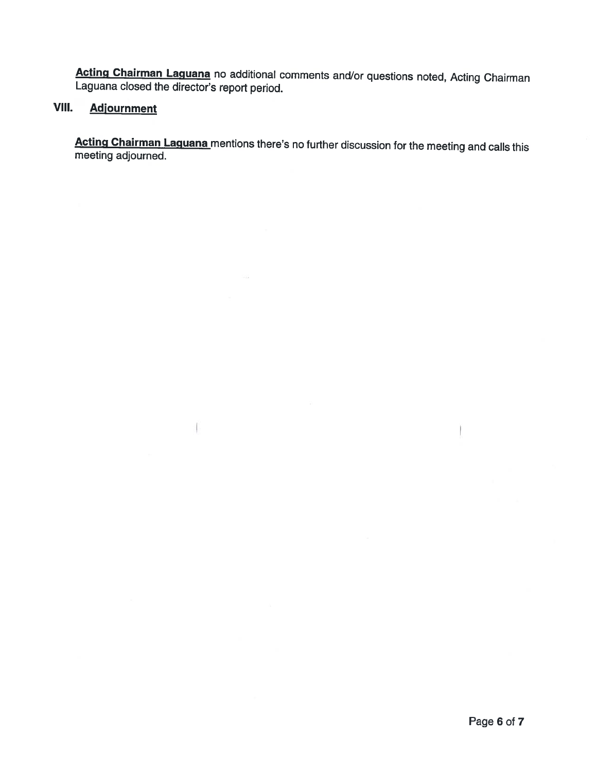Acting Chairman Laguana no additional comments and/or questions noted, Acting Chairman Laguana closed the director's repor<sup>t</sup> period.

# VIII. Adjournment

 $\mathbf{I}$ 

Acting Chairman Laguana mentions there's no further discussion for the meeting and calls this meeting adjourned.

Ť